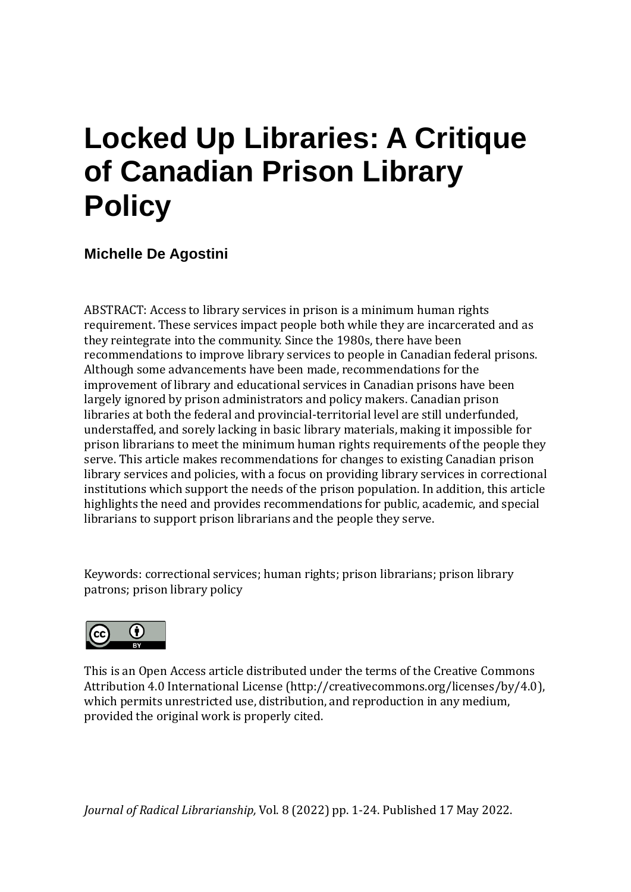# **Locked Up Libraries: A Critique of Canadian Prison Library Policy**

**Michelle De Agostini**

ABSTRACT: Access to library services in prison is a minimum human rights requirement. These services impact people both while they are incarcerated and as they reintegrate into the community. Since the 1980s, there have been recommendations to improve library services to people in Canadian federal prisons. Although some advancements have been made, recommendations for the improvement of library and educational services in Canadian prisons have been largely ignored by prison administrators and policy makers. Canadian prison libraries at both the federal and provincial-territorial level are still underfunded, understaffed, and sorely lacking in basic library materials, making it impossible for prison librarians to meet the minimum human rights requirements of the people they serve. This article makes recommendations for changes to existing Canadian prison library services and policies, with a focus on providing library services in correctional institutions which support the needs of the prison population. In addition, this article highlights the need and provides recommendations for public, academic, and special librarians to support prison librarians and the people they serve.

Keywords: correctional services; human rights; prison librarians; prison library patrons; prison library policy



This is an Open Access article distributed under the terms of the Creative Commons Attribution 4.0 International License [\(http://creativecommons.org/licenses/by/4.0\)](http://creativecommons.org/licenses/by/4.0/), which permits unrestricted use, distribution, and reproduction in any medium, provided the original work is properly cited.

*Journal of Radical Librarianship,* Vol. 8 (2022) pp. 1-24. Published 17 May 2022.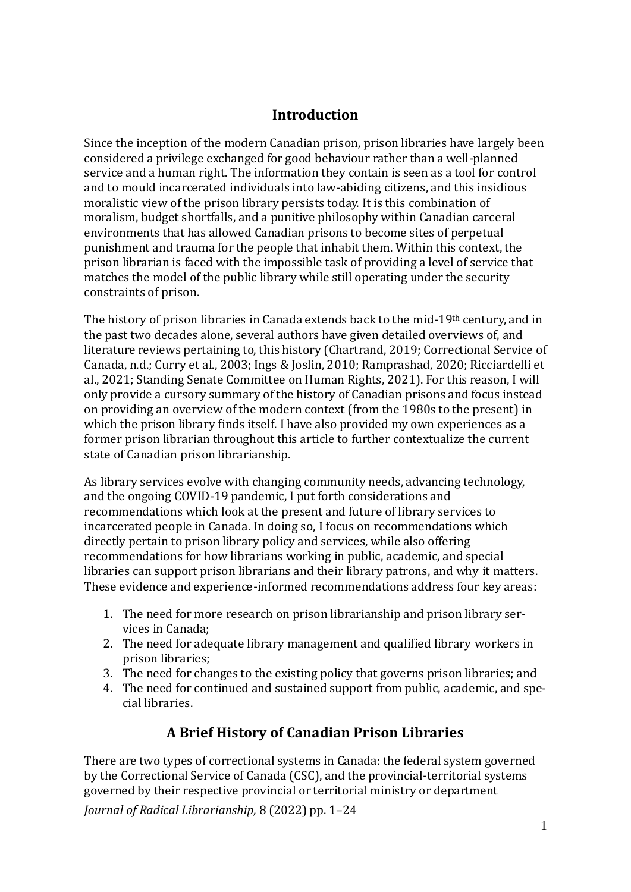#### **Introduction**

Since the inception of the modern Canadian prison, prison libraries have largely been considered a privilege exchanged for good behaviour rather than a well-planned service and a human right. The information they contain is seen as a tool for control and to mould incarcerated individuals into law-abiding citizens, and this insidious moralistic view of the prison library persists today. It is this combination of moralism, budget shortfalls, and a punitive philosophy within Canadian carceral environments that has allowed Canadian prisons to become sites of perpetual punishment and trauma for the people that inhabit them. Within this context, the prison librarian is faced with the impossible task of providing a level of service that matches the model of the public library while still operating under the security constraints of prison.

The history of prison libraries in Canada extends back to the mid-19th century, and in the past two decades alone, several authors have given detailed overviews of, and literature reviews pertaining to, this history (Chartrand, 2019; Correctional Service of Canada, n.d.; Curry et al., 2003; Ings & Joslin, 2010; Ramprashad, 2020; Ricciardelli et al., 2021; Standing Senate Committee on Human Rights, 2021). For this reason, I will only provide a cursory summary of the history of Canadian prisons and focus instead on providing an overview of the modern context (from the 1980s to the present) in which the prison library finds itself. I have also provided my own experiences as a former prison librarian throughout this article to further contextualize the current state of Canadian prison librarianship.

As library services evolve with changing community needs, advancing technology, and the ongoing COVID-19 pandemic, I put forth considerations and recommendations which look at the present and future of library services to incarcerated people in Canada. In doing so, I focus on recommendations which directly pertain to prison library policy and services, while also offering recommendations for how librarians working in public, academic, and special libraries can support prison librarians and their library patrons, and why it matters. These evidence and experience-informed recommendations address four key areas:

- 1. The need for more research on prison librarianship and prison library services in Canada;
- 2. The need for adequate library management and qualified library workers in prison libraries;
- 3. The need for changes to the existing policy that governs prison libraries; and
- 4. The need for continued and sustained support from public, academic, and special libraries.

# **A Brief History of Canadian Prison Libraries**

*Journal of Radical Librarianship,* 8 (2022) pp. 1–24 There are two types of correctional systems in Canada: the federal system governed by the Correctional Service of Canada (CSC), and the provincial-territorial systems governed by their respective provincial or territorial ministry or department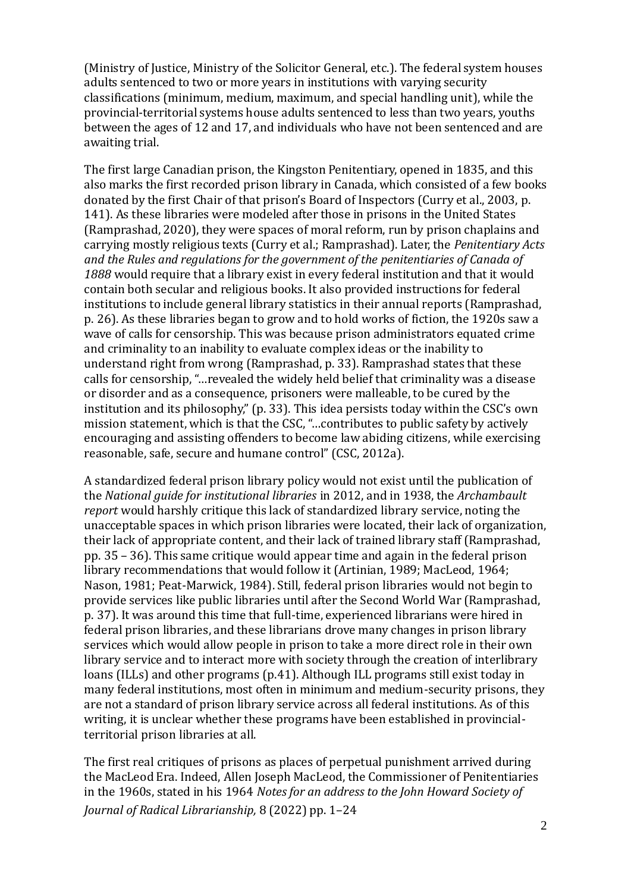(Ministry of Justice, Ministry of the Solicitor General, etc.). The federal system houses adults sentenced to two or more years in institutions with varying security classifications (minimum, medium, maximum, and special handling unit), while the provincial-territorial systems house adults sentenced to less than two years, youths between the ages of 12 and 17, and individuals who have not been sentenced and are awaiting trial.

The first large Canadian prison, the Kingston Penitentiary, opened in 1835, and this also marks the first recorded prison library in Canada, which consisted of a few books donated by the first Chair of that prison's Board of Inspectors (Curry et al., 2003, p. 141). As these libraries were modeled after those in prisons in the United States (Ramprashad, 2020), they were spaces of moral reform, run by prison chaplains and carrying mostly religious texts (Curry et al.; Ramprashad). Later, the *Penitentiary Acts and the Rules and regulations for the government of the penitentiaries of Canada of 1888* would require that a library exist in every federal institution and that it would contain both secular and religious books. It also provided instructions for federal institutions to include general library statistics in their annual reports (Ramprashad, p. 26). As these libraries began to grow and to hold works of fiction, the 1920s saw a wave of calls for censorship. This was because prison administrators equated crime and criminality to an inability to evaluate complex ideas or the inability to understand right from wrong (Ramprashad, p. 33). Ramprashad states that these calls for censorship, "…revealed the widely held belief that criminality was a disease or disorder and as a consequence, prisoners were malleable, to be cured by the institution and its philosophy," (p. 33). This idea persists today within the CSC's own mission statement, which is that the CSC, "…contributes to public safety by actively encouraging and assisting offenders to become law abiding citizens, while exercising reasonable, safe, secure and humane control" (CSC, 2012a).

A standardized federal prison library policy would not exist until the publication of the *National guide for institutional libraries* in 2012, and in 1938, the *Archambault report* would harshly critique this lack of standardized library service, noting the unacceptable spaces in which prison libraries were located, their lack of organization, their lack of appropriate content, and their lack of trained library staff (Ramprashad, pp. 35 – 36). This same critique would appear time and again in the federal prison library recommendations that would follow it (Artinian, 1989; MacLeod, 1964; Nason, 1981; Peat-Marwick, 1984). Still, federal prison libraries would not begin to provide services like public libraries until after the Second World War (Ramprashad, p. 37). It was around this time that full-time, experienced librarians were hired in federal prison libraries, and these librarians drove many changes in prison library services which would allow people in prison to take a more direct role in their own library service and to interact more with society through the creation of interlibrary loans (ILLs) and other programs (p.41). Although ILL programs still exist today in many federal institutions, most often in minimum and medium-security prisons, they are not a standard of prison library service across all federal institutions. As of this writing, it is unclear whether these programs have been established in provincialterritorial prison libraries at all.

*Journal of Radical Librarianship,* 8 (2022) pp. 1–24 The first real critiques of prisons as places of perpetual punishment arrived during the MacLeod Era. Indeed, Allen Joseph MacLeod, the Commissioner of Penitentiaries in the 1960s, stated in his 1964 *Notes for an address to the John Howard Society of*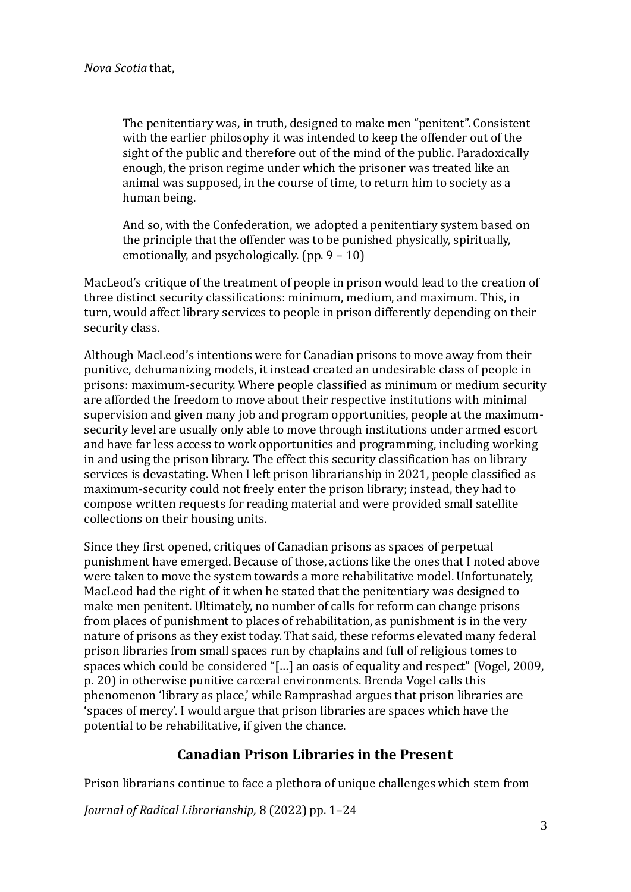The penitentiary was, in truth, designed to make men "penitent". Consistent with the earlier philosophy it was intended to keep the offender out of the sight of the public and therefore out of the mind of the public. Paradoxically enough, the prison regime under which the prisoner was treated like an animal was supposed, in the course of time, to return him to society as a human being.

And so, with the Confederation, we adopted a penitentiary system based on the principle that the offender was to be punished physically, spiritually, emotionally, and psychologically. (pp. 9 – 10)

MacLeod's critique of the treatment of people in prison would lead to the creation of three distinct security classifications: minimum, medium, and maximum. This, in turn, would affect library services to people in prison differently depending on their security class.

Although MacLeod's intentions were for Canadian prisons to move away from their punitive, dehumanizing models, it instead created an undesirable class of people in prisons: maximum-security. Where people classified as minimum or medium security are afforded the freedom to move about their respective institutions with minimal supervision and given many job and program opportunities, people at the maximumsecurity level are usually only able to move through institutions under armed escort and have far less access to work opportunities and programming, including working in and using the prison library. The effect this security classification has on library services is devastating. When I left prison librarianship in 2021, people classified as maximum-security could not freely enter the prison library; instead, they had to compose written requests for reading material and were provided small satellite collections on their housing units.

Since they first opened, critiques of Canadian prisons as spaces of perpetual punishment have emerged. Because of those, actions like the ones that I noted above were taken to move the system towards a more rehabilitative model. Unfortunately, MacLeod had the right of it when he stated that the penitentiary was designed to make men penitent. Ultimately, no number of calls for reform can change prisons from places of punishment to places of rehabilitation, as punishment is in the very nature of prisons as they exist today. That said, these reforms elevated many federal prison libraries from small spaces run by chaplains and full of religious tomes to spaces which could be considered "[…] an oasis of equality and respect" (Vogel, 2009, p. 20) in otherwise punitive carceral environments. Brenda Vogel calls this phenomenon 'library as place,' while Ramprashad argues that prison libraries are 'spaces of mercy'. I would argue that prison libraries are spaces which have the potential to be rehabilitative, if given the chance.

#### **Canadian Prison Libraries in the Present**

Prison librarians continue to face a plethora of unique challenges which stem from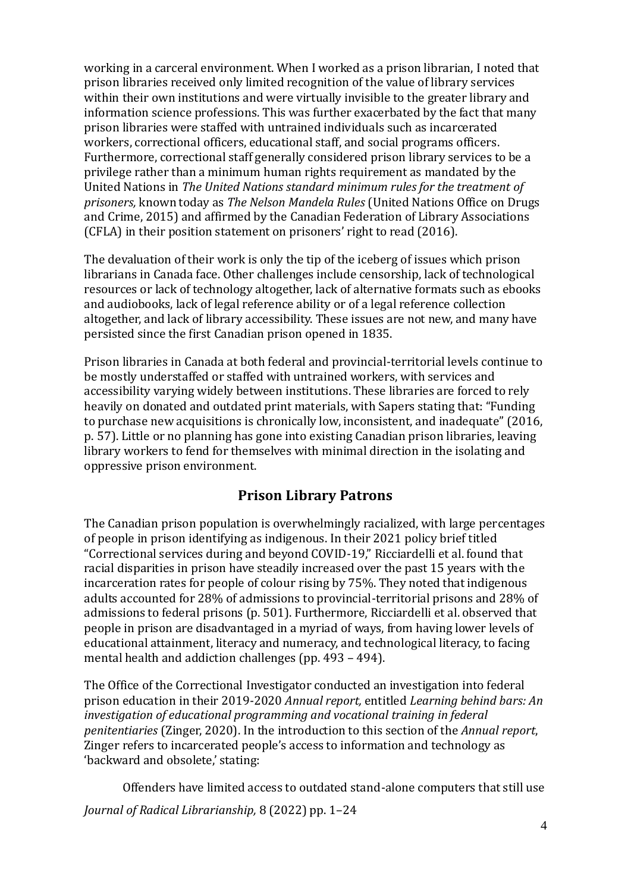working in a carceral environment. When I worked as a prison librarian, I noted that prison libraries received only limited recognition of the value of library services within their own institutions and were virtually invisible to the greater library and information science professions. This was further exacerbated by the fact that many prison libraries were staffed with untrained individuals such as incarcerated workers, correctional officers, educational staff, and social programs officers. Furthermore, correctional staff generally considered prison library services to be a privilege rather than a minimum human rights requirement as mandated by the United Nations in *The United Nations standard minimum rules for the treatment of prisoners,* known today as *The Nelson Mandela Rules* (United Nations Office on Drugs and Crime, 2015) and affirmed by the Canadian Federation of Library Associations (CFLA) in their position statement on prisoners' right to read (2016).

The devaluation of their work is only the tip of the iceberg of issues which prison librarians in Canada face. Other challenges include censorship, lack of technological resources or lack of technology altogether, lack of alternative formats such as ebooks and audiobooks, lack of legal reference ability or of a legal reference collection altogether, and lack of library accessibility. These issues are not new, and many have persisted since the first Canadian prison opened in 1835.

Prison libraries in Canada at both federal and provincial-territorial levels continue to be mostly understaffed or staffed with untrained workers, with services and accessibility varying widely between institutions. These libraries are forced to rely heavily on donated and outdated print materials, with Sapers stating that: "Funding to purchase new acquisitions is chronically low, inconsistent, and inadequate" (2016, p. 57). Little or no planning has gone into existing Canadian prison libraries, leaving library workers to fend for themselves with minimal direction in the isolating and oppressive prison environment.

#### **Prison Library Patrons**

The Canadian prison population is overwhelmingly racialized, with large percentages of people in prison identifying as indigenous. In their 2021 policy brief titled "Correctional services during and beyond COVID-19," Ricciardelli et al. found that racial disparities in prison have steadily increased over the past 15 years with the incarceration rates for people of colour rising by 75%. They noted that indigenous adults accounted for 28% of admissions to provincial-territorial prisons and 28% of admissions to federal prisons (p. 501). Furthermore, Ricciardelli et al. observed that people in prison are disadvantaged in a myriad of ways, from having lower levels of educational attainment, literacy and numeracy, and technological literacy, to facing mental health and addiction challenges (pp. 493 – 494).

The Office of the Correctional Investigator conducted an investigation into federal prison education in their 2019-2020 *Annual report,* entitled *Learning behind bars: An investigation of educational programming and vocational training in federal penitentiaries* (Zinger, 2020). In the introduction to this section of the *Annual report*, Zinger refers to incarcerated people's access to information and technology as 'backward and obsolete,' stating:

*Journal of Radical Librarianship,* 8 (2022) pp. 1–24 Offenders have limited access to outdated stand-alone computers that still use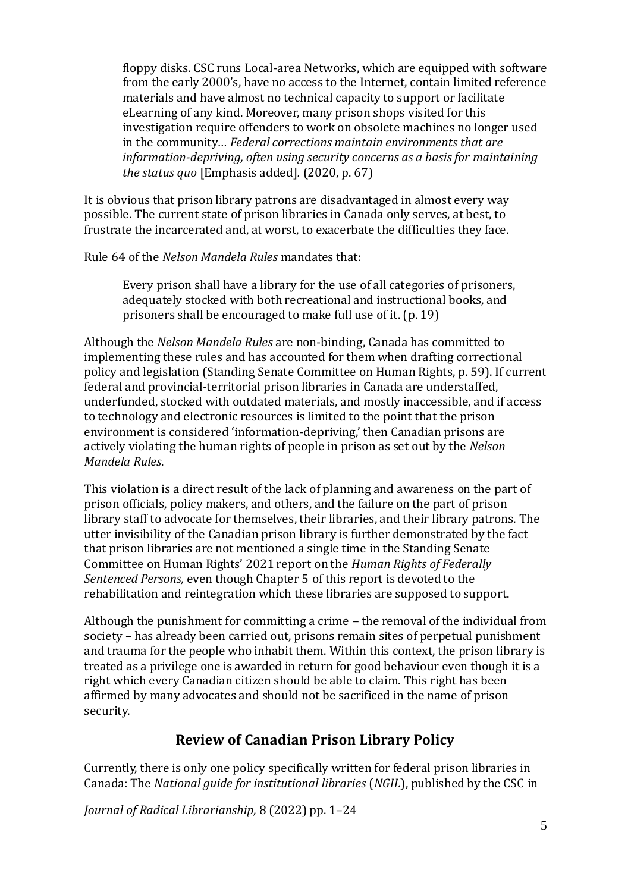floppy disks. CSC runs Local-area Networks, which are equipped with software from the early 2000's, have no access to the Internet, contain limited reference materials and have almost no technical capacity to support or facilitate eLearning of any kind. Moreover, many prison shops visited for this investigation require offenders to work on obsolete machines no longer used in the community… *Federal corrections maintain environments that are information-depriving, often using security concerns as a basis for maintaining the status quo* [Emphasis added]*.* (2020, p. 67)

It is obvious that prison library patrons are disadvantaged in almost every way possible. The current state of prison libraries in Canada only serves, at best, to frustrate the incarcerated and, at worst, to exacerbate the difficulties they face.

Rule 64 of the *Nelson Mandela Rules* mandates that:

Every prison shall have a library for the use of all categories of prisoners, adequately stocked with both recreational and instructional books, and prisoners shall be encouraged to make full use of it. (p. 19)

Although the *Nelson Mandela Rules* are non-binding, Canada has committed to implementing these rules and has accounted for them when drafting correctional policy and legislation (Standing Senate Committee on Human Rights, p. 59). If current federal and provincial-territorial prison libraries in Canada are understaffed, underfunded, stocked with outdated materials, and mostly inaccessible, and if access to technology and electronic resources is limited to the point that the prison environment is considered 'information-depriving,' then Canadian prisons are actively violating the human rights of people in prison as set out by the *Nelson Mandela Rules*.

This violation is a direct result of the lack of planning and awareness on the part of prison officials, policy makers, and others, and the failure on the part of prison library staff to advocate for themselves, their libraries, and their library patrons. The utter invisibility of the Canadian prison library is further demonstrated by the fact that prison libraries are not mentioned a single time in the Standing Senate Committee on Human Rights' 2021 report on the *Human Rights of Federally Sentenced Persons,* even though Chapter 5 of this report is devoted to the rehabilitation and reintegration which these libraries are supposed to support.

Although the punishment for committing a crime – the removal of the individual from society – has already been carried out, prisons remain sites of perpetual punishment and trauma for the people who inhabit them. Within this context, the prison library is treated as a privilege one is awarded in return for good behaviour even though it is a right which every Canadian citizen should be able to claim. This right has been affirmed by many advocates and should not be sacrificed in the name of prison security.

#### **Review of Canadian Prison Library Policy**

Currently, there is only one policy specifically written for federal prison libraries in Canada: The *National guide for institutional libraries* (*NGIL*), published by the CSC in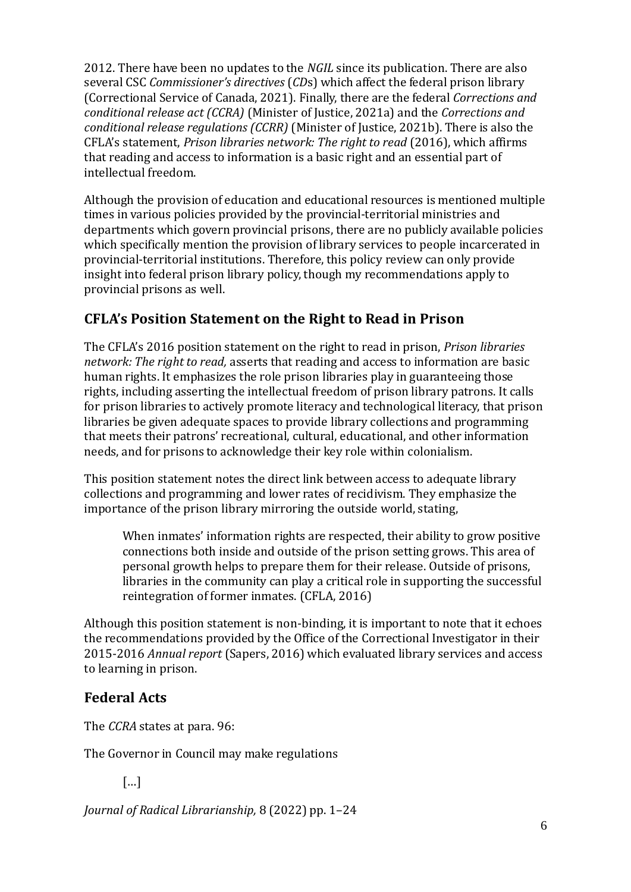2012. There have been no updates to the *NGIL* since its publication. There are also several CSC *Commissioner's directives* (*CD*s) which affect the federal prison library (Correctional Service of Canada, 2021). Finally, there are the federal *Corrections and conditional release act (CCRA)* (Minister of Justice, 2021a) and the *Corrections and conditional release regulations (CCRR)* (Minister of Justice, 2021b). There is also the CFLA's statement, *Prison libraries network: The right to read* (2016), which affirms that reading and access to information is a basic right and an essential part of intellectual freedom.

Although the provision of education and educational resources is mentioned multiple times in various policies provided by the provincial-territorial ministries and departments which govern provincial prisons, there are no publicly available policies which specifically mention the provision of library services to people incarcerated in provincial-territorial institutions. Therefore, this policy review can only provide insight into federal prison library policy, though my recommendations apply to provincial prisons as well.

## **CFLA's Position Statement on the Right to Read in Prison**

The CFLA's 2016 position statement on the right to read in prison, *Prison libraries network: The right to read,* asserts that reading and access to information are basic human rights. It emphasizes the role prison libraries play in guaranteeing those rights, including asserting the intellectual freedom of prison library patrons. It calls for prison libraries to actively promote literacy and technological literacy, that prison libraries be given adequate spaces to provide library collections and programming that meets their patrons' recreational, cultural, educational, and other information needs, and for prisons to acknowledge their key role within colonialism.

This position statement notes the direct link between access to adequate library collections and programming and lower rates of recidivism. They emphasize the importance of the prison library mirroring the outside world, stating,

When inmates' information rights are respected, their ability to grow positive connections both inside and outside of the prison setting grows. This area of personal growth helps to prepare them for their release. Outside of prisons, libraries in the community can play a critical role in supporting the successful reintegration of former inmates. (CFLA, 2016)

Although this position statement is non-binding, it is important to note that it echoes the recommendations provided by the Office of the Correctional Investigator in their 2015-2016 *Annual report* (Sapers, 2016) which evaluated library services and access to learning in prison.

#### **Federal Acts**

The *CCRA* states at para. 96:

The Governor in Council may make regulations

[…]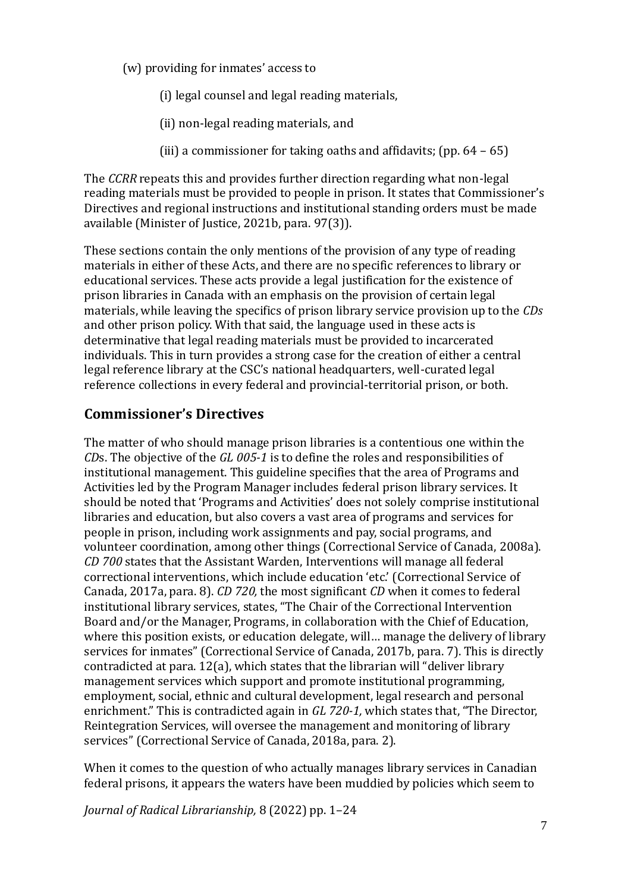(w) providing for inmates' access to

(i) legal counsel and legal reading materials,

- (ii) non-legal reading materials, and
- (iii) a commissioner for taking oaths and affidavits; (pp.  $64 65$ )

The *CCRR* repeats this and provides further direction regarding what non-legal reading materials must be provided to people in prison. It states that Commissioner's Directives and regional instructions and institutional standing orders must be made available (Minister of Justice, 2021b, para. 97(3)).

These sections contain the only mentions of the provision of any type of reading materials in either of these Acts, and there are no specific references to library or educational services. These acts provide a legal justification for the existence of prison libraries in Canada with an emphasis on the provision of certain legal materials, while leaving the specifics of prison library service provision up to the *CDs*  and other prison policy. With that said, the language used in these acts is determinative that legal reading materials must be provided to incarcerated individuals. This in turn provides a strong case for the creation of either a central legal reference library at the CSC's national headquarters, well-curated legal reference collections in every federal and provincial-territorial prison, or both.

#### **Commissioner's Directives**

The matter of who should manage prison libraries is a contentious one within the *CD*s. The objective of the *GL 005-1* is to define the roles and responsibilities of institutional management. This guideline specifies that the area of Programs and Activities led by the Program Manager includes federal prison library services. It should be noted that 'Programs and Activities' does not solely comprise institutional libraries and education, but also covers a vast area of programs and services for people in prison, including work assignments and pay, social programs, and volunteer coordination, among other things (Correctional Service of Canada, 2008a). *CD 700* states that the Assistant Warden, Interventions will manage all federal correctional interventions, which include education 'etc.' (Correctional Service of Canada, 2017a, para. 8). *CD 720,* the most significant *CD* when it comes to federal institutional library services, states, "The Chair of the Correctional Intervention Board and/or the Manager, Programs, in collaboration with the Chief of Education, where this position exists, or education delegate, will… manage the delivery of library services for inmates" (Correctional Service of Canada, 2017b, para. 7). This is directly contradicted at para. 12(a), which states that the librarian will "deliver library management services which support and promote institutional programming, employment, social, ethnic and cultural development, legal research and personal enrichment." This is contradicted again in *GL 720-1,* which states that, "The Director, Reintegration Services, will oversee the management and monitoring of library services" (Correctional Service of Canada, 2018a, para. 2).

When it comes to the question of who actually manages library services in Canadian federal prisons, it appears the waters have been muddied by policies which seem to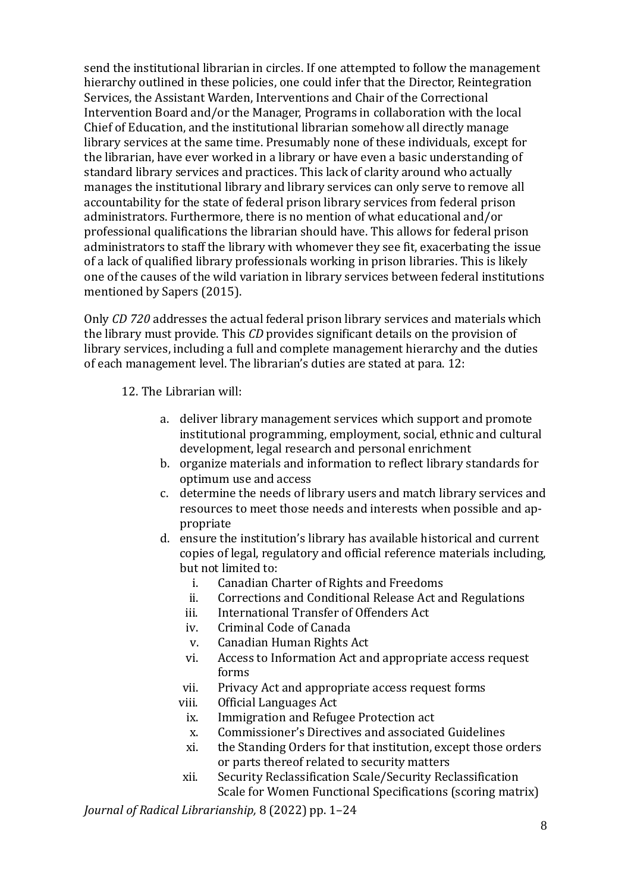send the institutional librarian in circles. If one attempted to follow the management hierarchy outlined in these policies, one could infer that the Director, Reintegration Services, the Assistant Warden, Interventions and Chair of the Correctional Intervention Board and/or the Manager, Programs in collaboration with the local Chief of Education, and the institutional librarian somehow all directly manage library services at the same time. Presumably none of these individuals, except for the librarian, have ever worked in a library or have even a basic understanding of standard library services and practices. This lack of clarity around who actually manages the institutional library and library services can only serve to remove all accountability for the state of federal prison library services from federal prison administrators. Furthermore, there is no mention of what educational and/or professional qualifications the librarian should have. This allows for federal prison administrators to staff the library with whomever they see fit, exacerbating the issue of a lack of qualified library professionals working in prison libraries. This is likely one of the causes of the wild variation in library services between federal institutions mentioned by Sapers (2015).

Only *CD 720* addresses the actual federal prison library services and materials which the library must provide. This *CD* provides significant details on the provision of library services, including a full and complete management hierarchy and the duties of each management level. The librarian's duties are stated at para. 12:

12. The Librarian will:

- a. deliver library management services which support and promote institutional programming, employment, social, ethnic and cultural development, legal research and personal enrichment
- b. organize materials and information to reflect library standards for optimum use and access
- c. determine the needs of library users and match library services and resources to meet those needs and interests when possible and appropriate
- d. ensure the institution's library has available historical and current copies of legal, regulatory and official reference materials including, but not limited to:
	- i. Canadian Charter of Rights and Freedoms
	- ii. Corrections and Conditional Release Act and Regulations
	- iii. International Transfer of Offenders Act
	- iv. Criminal Code of Canada
	- v. Canadian Human Rights Act
	- vi. Access to Information Act and appropriate access request forms
	- vii. Privacy Act and appropriate access request forms
	- viii. Official Languages Act
		- ix. Immigration and Refugee Protection act
		- x. Commissioner's Directives and associated Guidelines
	- xi. the Standing Orders for that institution, except those orders or parts thereof related to security matters
	- xii. Security Reclassification Scale/Security Reclassification Scale for Women Functional Specifications (scoring matrix)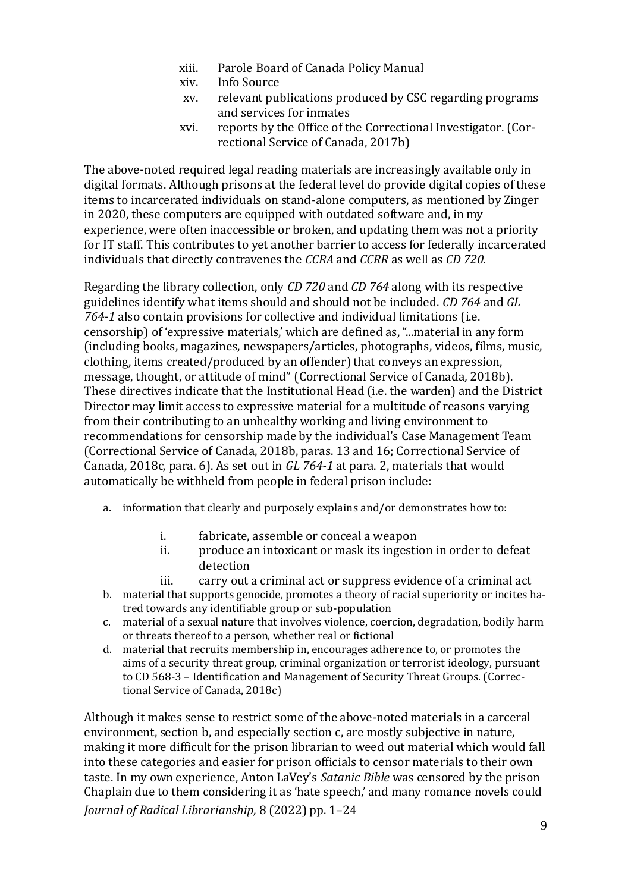- xiii. Parole Board of Canada Policy Manual
- xiv. Info Source
- xv. relevant publications produced by CSC regarding programs and services for inmates
- xvi. reports by the Office of the Correctional Investigator. (Correctional Service of Canada, 2017b)

The above-noted required legal reading materials are increasingly available only in digital formats. Although prisons at the federal level do provide digital copies of these items to incarcerated individuals on stand-alone computers, as mentioned by Zinger in 2020, these computers are equipped with outdated software and, in my experience, were often inaccessible or broken, and updating them was not a priority for IT staff. This contributes to yet another barrier to access for federally incarcerated individuals that directly contravenes the *CCRA* and *CCRR* as well as *CD 720.*

Regarding the library collection, only *CD 720* and *CD 764* along with its respective guidelines identify what items should and should not be included. *CD 764* and *GL 764-1* also contain provisions for collective and individual limitations (i.e. censorship) of 'expressive materials,' which are defined as, "...material in any form (including books, magazines, newspapers/articles, photographs, videos, films, music, clothing, items created/produced by an offender) that conveys an expression, message, thought, or attitude of mind" (Correctional Service of Canada*,* 2018b). These directives indicate that the Institutional Head (i.e. the warden) and the District Director may limit access to expressive material for a multitude of reasons varying from their contributing to an unhealthy working and living environment to recommendations for censorship made by the individual's Case Management Team (Correctional Service of Canada, 2018b, paras. 13 and 16; Correctional Service of Canada, 2018c, para. 6). As set out in *GL 764-1* at para. 2, materials that would automatically be withheld from people in federal prison include:

- a. information that clearly and purposely explains and/or demonstrates how to:
	- i. fabricate, assemble or conceal a weapon
	- ii. produce an intoxicant or mask its ingestion in order to defeat detection
	- iii. carry out a criminal act or suppress evidence of a criminal act
- b. material that supports genocide, promotes a theory of racial superiority or incites hatred towards any identifiable group or sub-population
- c. material of a sexual nature that involves violence, coercion, degradation, bodily harm or threats thereof to a person, whether real or fictional
- d. material that recruits membership in, encourages adherence to, or promotes the aims of a security threat group, criminal organization or terrorist ideology, pursuant to CD 568-3 – Identification and Management of Security Threat Groups. (Correctional Service of Canada, 2018c)

*Journal of Radical Librarianship,* 8 (2022) pp. 1–24 Although it makes sense to restrict some of the above-noted materials in a carceral environment, section b, and especially section c, are mostly subjective in nature, making it more difficult for the prison librarian to weed out material which would fall into these categories and easier for prison officials to censor materials to their own taste. In my own experience, Anton LaVey's *Satanic Bible* was censored by the prison Chaplain due to them considering it as 'hate speech,' and many romance novels could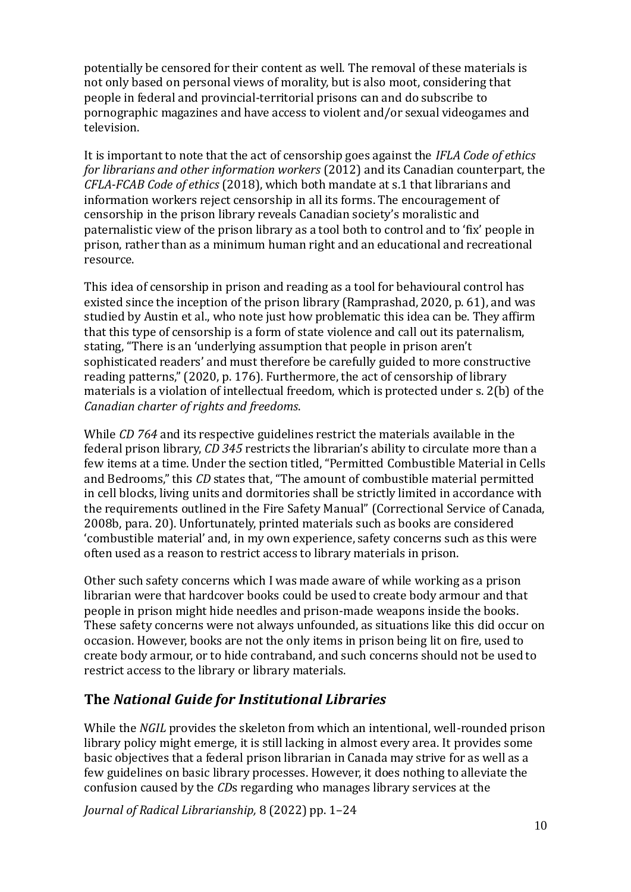potentially be censored for their content as well. The removal of these materials is not only based on personal views of morality, but is also moot, considering that people in federal and provincial-territorial prisons can and do subscribe to pornographic magazines and have access to violent and/or sexual videogames and television.

It is important to note that the act of censorship goes against the *IFLA Code of ethics for librarians and other information workers* (2012) and its Canadian counterpart, the *CFLA-FCAB Code of ethics* (2018), which both mandate at s.1 that librarians and information workers reject censorship in all its forms. The encouragement of censorship in the prison library reveals Canadian society's moralistic and paternalistic view of the prison library as a tool both to control and to 'fix' people in prison, rather than as a minimum human right and an educational and recreational resource.

This idea of censorship in prison and reading as a tool for behavioural control has existed since the inception of the prison library (Ramprashad, 2020, p. 61), and was studied by Austin et al., who note just how problematic this idea can be. They affirm that this type of censorship is a form of state violence and call out its paternalism, stating, "There is an 'underlying assumption that people in prison aren't sophisticated readers' and must therefore be carefully guided to more constructive reading patterns," (2020, p. 176). Furthermore, the act of censorship of library materials is a violation of intellectual freedom, which is protected under s. 2(b) of the *Canadian charter of rights and freedoms*.

While *CD 764* and its respective guidelines restrict the materials available in the federal prison library, *CD 345* restricts the librarian's ability to circulate more than a few items at a time. Under the section titled, "Permitted Combustible Material in Cells and Bedrooms," this *CD* states that, "The amount of combustible material permitted in cell blocks, living units and dormitories shall be strictly limited in accordance with the requirements outlined in the Fire Safety Manual" (Correctional Service of Canada, 2008b, para. 20). Unfortunately, printed materials such as books are considered 'combustible material' and, in my own experience, safety concerns such as this were often used as a reason to restrict access to library materials in prison.

Other such safety concerns which I was made aware of while working as a prison librarian were that hardcover books could be used to create body armour and that people in prison might hide needles and prison-made weapons inside the books. These safety concerns were not always unfounded, as situations like this did occur on occasion. However, books are not the only items in prison being lit on fire, used to create body armour, or to hide contraband, and such concerns should not be used to restrict access to the library or library materials.

#### **The** *National Guide for Institutional Libraries*

While the *NGIL* provides the skeleton from which an intentional, well-rounded prison library policy might emerge, it is still lacking in almost every area. It provides some basic objectives that a federal prison librarian in Canada may strive for as well as a few guidelines on basic library processes. However, it does nothing to alleviate the confusion caused by the *CD*s regarding who manages library services at the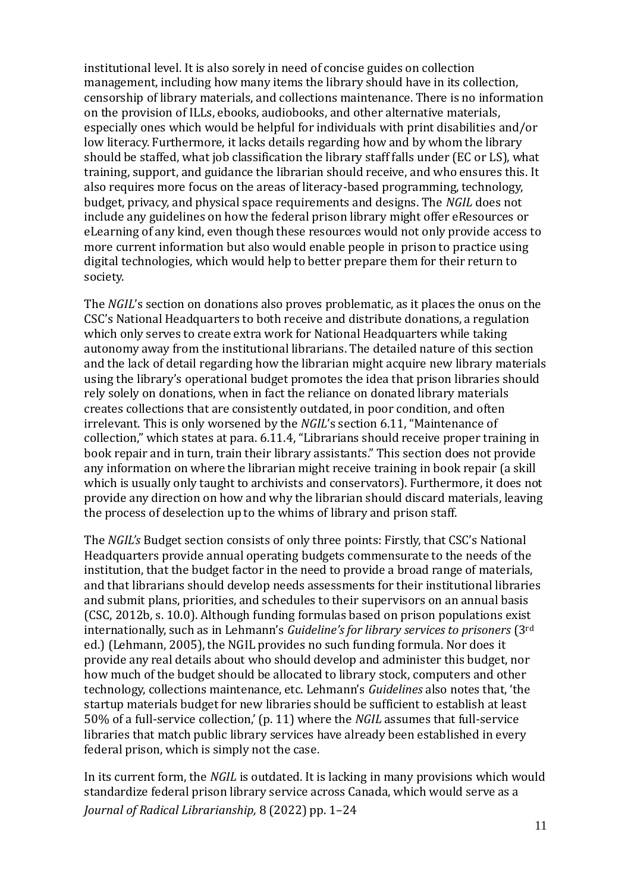institutional level. It is also sorely in need of concise guides on collection management, including how many items the library should have in its collection, censorship of library materials, and collections maintenance. There is no information on the provision of ILLs, ebooks, audiobooks, and other alternative materials, especially ones which would be helpful for individuals with print disabilities and/or low literacy. Furthermore, it lacks details regarding how and by whom the library should be staffed, what job classification the library staff falls under (EC or LS), what training, support, and guidance the librarian should receive, and who ensures this. It also requires more focus on the areas of literacy-based programming, technology, budget, privacy, and physical space requirements and designs. The *NGIL* does not include any guidelines on how the federal prison library might offer eResources or eLearning of any kind, even though these resources would not only provide access to more current information but also would enable people in prison to practice using digital technologies, which would help to better prepare them for their return to society.

The *NGIL*'s section on donations also proves problematic, as it places the onus on the CSC's National Headquarters to both receive and distribute donations, a regulation which only serves to create extra work for National Headquarters while taking autonomy away from the institutional librarians. The detailed nature of this section and the lack of detail regarding how the librarian might acquire new library materials using the library's operational budget promotes the idea that prison libraries should rely solely on donations, when in fact the reliance on donated library materials creates collections that are consistently outdated, in poor condition, and often irrelevant. This is only worsened by the *NGIL*'s section 6.11, "Maintenance of collection," which states at para. 6.11.4, "Librarians should receive proper training in book repair and in turn, train their library assistants." This section does not provide any information on where the librarian might receive training in book repair (a skill which is usually only taught to archivists and conservators). Furthermore, it does not provide any direction on how and why the librarian should discard materials, leaving the process of deselection up to the whims of library and prison staff.

The *NGIL's* Budget section consists of only three points: Firstly, that CSC's National Headquarters provide annual operating budgets commensurate to the needs of the institution, that the budget factor in the need to provide a broad range of materials, and that librarians should develop needs assessments for their institutional libraries and submit plans, priorities, and schedules to their supervisors on an annual basis (CSC, 2012b, s. 10.0). Although funding formulas based on prison populations exist internationally, such as in Lehmann's *Guideline's for library services to prisoners* (3rd ed.) (Lehmann, 2005), the NGIL provides no such funding formula. Nor does it provide any real details about who should develop and administer this budget, nor how much of the budget should be allocated to library stock, computers and other technology, collections maintenance, etc. Lehmann's *Guidelines* also notes that, 'the startup materials budget for new libraries should be sufficient to establish at least 50% of a full-service collection,' (p. 11) where the *NGIL* assumes that full-service libraries that match public library services have already been established in every federal prison, which is simply not the case.

*Journal of Radical Librarianship,* 8 (2022) pp. 1–24 In its current form, the *NGIL* is outdated. It is lacking in many provisions which would standardize federal prison library service across Canada, which would serve as a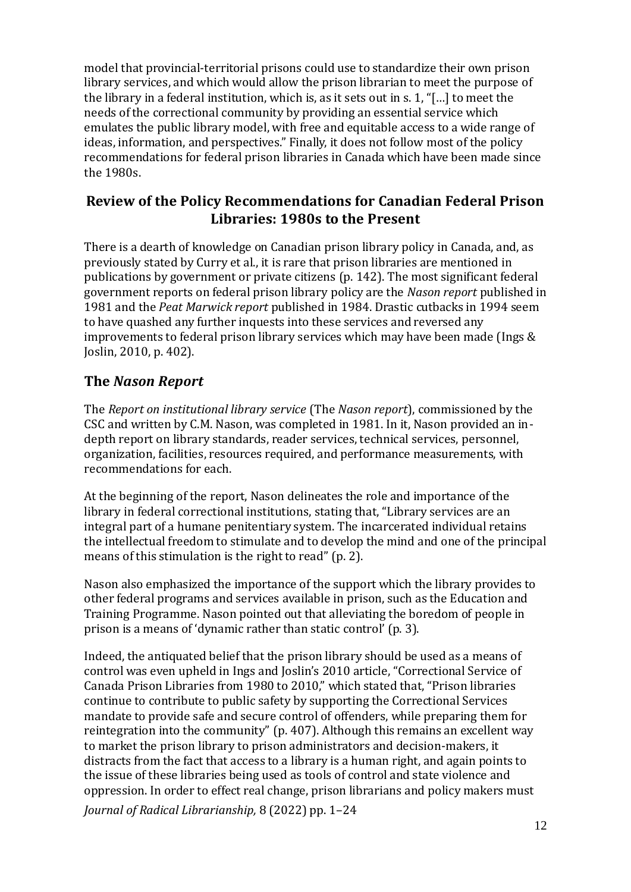model that provincial-territorial prisons could use to standardize their own prison library services, and which would allow the prison librarian to meet the purpose of the library in a federal institution, which is, as it sets out in s. 1, "[…] to meet the needs of the correctional community by providing an essential service which emulates the public library model, with free and equitable access to a wide range of ideas, information, and perspectives." Finally, it does not follow most of the policy recommendations for federal prison libraries in Canada which have been made since the 1980s.

#### **Review of the Policy Recommendations for Canadian Federal Prison Libraries: 1980s to the Present**

There is a dearth of knowledge on Canadian prison library policy in Canada, and, as previously stated by Curry et al., it is rare that prison libraries are mentioned in publications by government or private citizens (p. 142). The most significant federal government reports on federal prison library policy are the *Nason report* published in 1981 and the *Peat Marwick report* published in 1984. Drastic cutbacks in 1994 seem to have quashed any further inquests into these services and reversed any improvements to federal prison library services which may have been made (Ings & Joslin, 2010, p. 402).

## **The** *Nason Report*

The *Report on institutional library service* (The *Nason report*), commissioned by the CSC and written by C.M. Nason, was completed in 1981. In it, Nason provided an indepth report on library standards, reader services, technical services, personnel, organization, facilities, resources required, and performance measurements, with recommendations for each.

At the beginning of the report, Nason delineates the role and importance of the library in federal correctional institutions, stating that, "Library services are an integral part of a humane penitentiary system. The incarcerated individual retains the intellectual freedom to stimulate and to develop the mind and one of the principal means of this stimulation is the right to read" (p. 2).

Nason also emphasized the importance of the support which the library provides to other federal programs and services available in prison, such as the Education and Training Programme. Nason pointed out that alleviating the boredom of people in prison is a means of 'dynamic rather than static control' (p. 3).

Indeed, the antiquated belief that the prison library should be used as a means of control was even upheld in Ings and Joslin's 2010 article, "Correctional Service of Canada Prison Libraries from 1980 to 2010," which stated that, "Prison libraries continue to contribute to public safety by supporting the Correctional Services mandate to provide safe and secure control of offenders, while preparing them for reintegration into the community" (p. 407). Although this remains an excellent way to market the prison library to prison administrators and decision-makers, it distracts from the fact that access to a library is a human right, and again points to the issue of these libraries being used as tools of control and state violence and oppression. In order to effect real change, prison librarians and policy makers must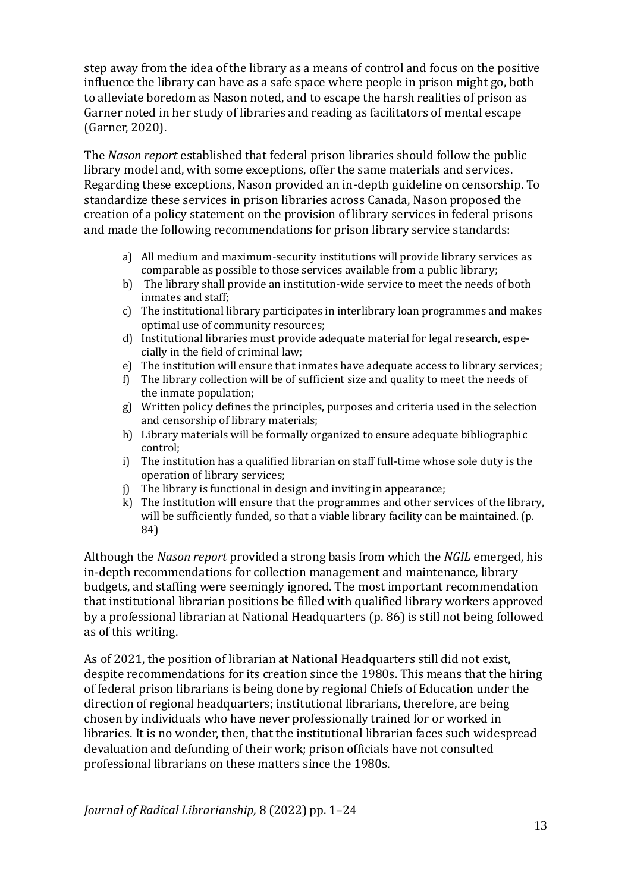step away from the idea of the library as a means of control and focus on the positive influence the library can have as a safe space where people in prison might go, both to alleviate boredom as Nason noted, and to escape the harsh realities of prison as Garner noted in her study of libraries and reading as facilitators of mental escape (Garner, 2020).

The *Nason report* established that federal prison libraries should follow the public library model and, with some exceptions, offer the same materials and services. Regarding these exceptions, Nason provided an in-depth guideline on censorship. To standardize these services in prison libraries across Canada, Nason proposed the creation of a policy statement on the provision of library services in federal prisons and made the following recommendations for prison library service standards:

- a) All medium and maximum-security institutions will provide library services as comparable as possible to those services available from a public library;
- b) The library shall provide an institution-wide service to meet the needs of both inmates and staff;
- c) The institutional library participates in interlibrary loan programmes and makes optimal use of community resources;
- d) Institutional libraries must provide adequate material for legal research, especially in the field of criminal law;
- e) The institution will ensure that inmates have adequate access to library services;
- f) The library collection will be of sufficient size and quality to meet the needs of the inmate population;
- g) Written policy defines the principles, purposes and criteria used in the selection and censorship of library materials;
- h) Library materials will be formally organized to ensure adequate bibliographic control;
- i) The institution has a qualified librarian on staff full-time whose sole duty is the operation of library services;
- j) The library is functional in design and inviting in appearance;
- k) The institution will ensure that the programmes and other services of the library, will be sufficiently funded, so that a viable library facility can be maintained. (p. 84)

Although the *Nason report* provided a strong basis from which the *NGIL* emerged, his in-depth recommendations for collection management and maintenance, library budgets, and staffing were seemingly ignored. The most important recommendation that institutional librarian positions be filled with qualified library workers approved by a professional librarian at National Headquarters (p. 86) is still not being followed as of this writing.

As of 2021, the position of librarian at National Headquarters still did not exist, despite recommendations for its creation since the 1980s. This means that the hiring of federal prison librarians is being done by regional Chiefs of Education under the direction of regional headquarters; institutional librarians, therefore, are being chosen by individuals who have never professionally trained for or worked in libraries. It is no wonder, then, that the institutional librarian faces such widespread devaluation and defunding of their work; prison officials have not consulted professional librarians on these matters since the 1980s.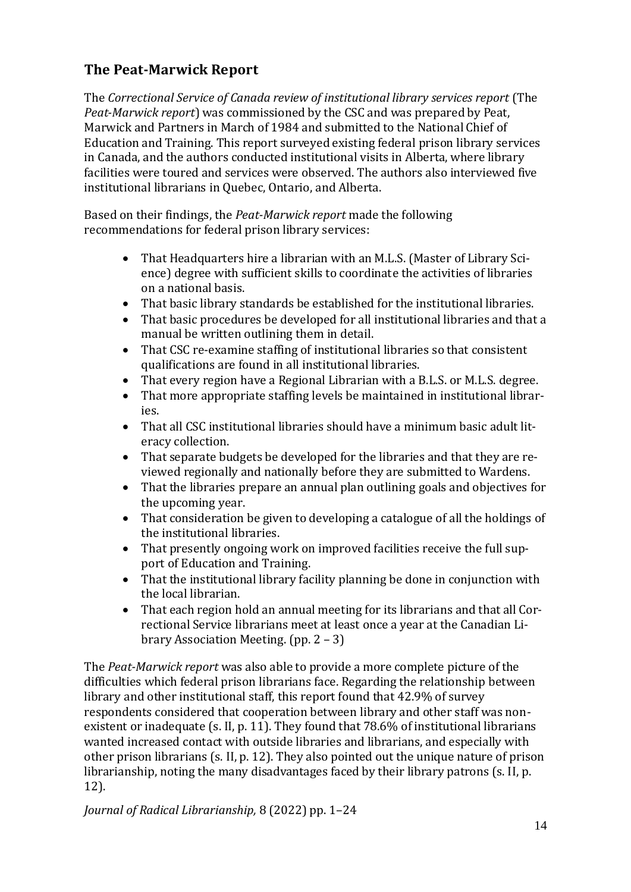## **The Peat-Marwick Report**

The *Correctional Service of Canada review of institutional library services report* (The *Peat-Marwick report*) was commissioned by the CSC and was prepared by Peat, Marwick and Partners in March of 1984 and submitted to the National Chief of Education and Training. This report surveyed existing federal prison library services in Canada, and the authors conducted institutional visits in Alberta, where library facilities were toured and services were observed. The authors also interviewed five institutional librarians in Quebec, Ontario, and Alberta.

Based on their findings, the *Peat-Marwick report* made the following recommendations for federal prison library services:

- That Headquarters hire a librarian with an M.L.S. (Master of Library Science) degree with sufficient skills to coordinate the activities of libraries on a national basis.
- That basic library standards be established for the institutional libraries.
- That basic procedures be developed for all institutional libraries and that a manual be written outlining them in detail.
- That CSC re-examine staffing of institutional libraries so that consistent qualifications are found in all institutional libraries.
- That every region have a Regional Librarian with a B.L.S. or M.L.S. degree.
- That more appropriate staffing levels be maintained in institutional libraries.
- That all CSC institutional libraries should have a minimum basic adult literacy collection.
- That separate budgets be developed for the libraries and that they are reviewed regionally and nationally before they are submitted to Wardens.
- That the libraries prepare an annual plan outlining goals and objectives for the upcoming year.
- That consideration be given to developing a catalogue of all the holdings of the institutional libraries.
- That presently ongoing work on improved facilities receive the full support of Education and Training.
- That the institutional library facility planning be done in conjunction with the local librarian.
- That each region hold an annual meeting for its librarians and that all Correctional Service librarians meet at least once a year at the Canadian Library Association Meeting. (pp. 2 – 3)

The *Peat-Marwick report* was also able to provide a more complete picture of the difficulties which federal prison librarians face. Regarding the relationship between library and other institutional staff, this report found that 42.9% of survey respondents considered that cooperation between library and other staff was nonexistent or inadequate (s. II, p. 11). They found that 78.6% of institutional librarians wanted increased contact with outside libraries and librarians, and especially with other prison librarians (s. II, p. 12). They also pointed out the unique nature of prison librarianship, noting the many disadvantages faced by their library patrons (s. II, p. 12).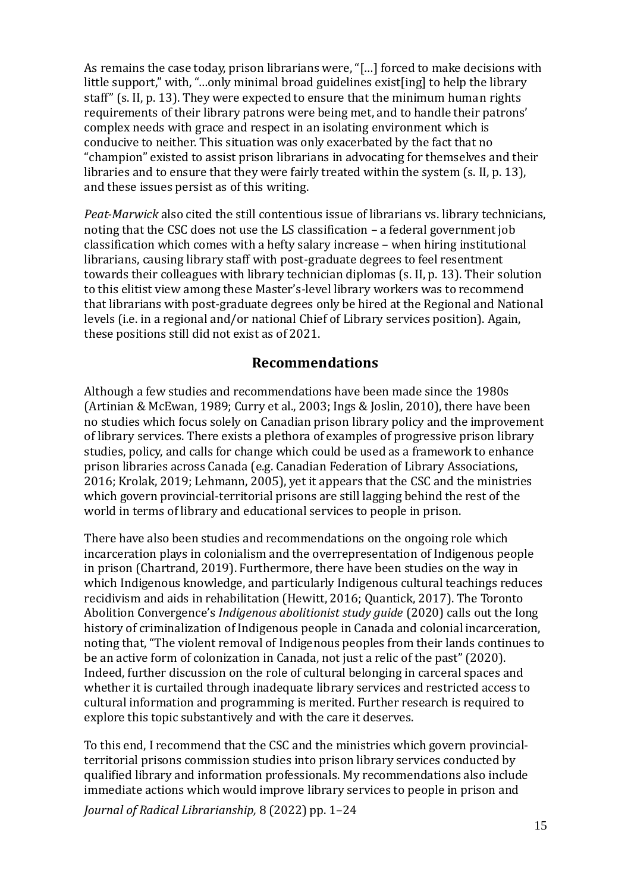As remains the case today, prison librarians were, "[…] forced to make decisions with little support," with, "...only minimal broad guidelines exist[ing] to help the library staff" (s. II, p. 13). They were expected to ensure that the minimum human rights requirements of their library patrons were being met, and to handle their patrons' complex needs with grace and respect in an isolating environment which is conducive to neither. This situation was only exacerbated by the fact that no "champion" existed to assist prison librarians in advocating for themselves and their libraries and to ensure that they were fairly treated within the system (s. II, p. 13), and these issues persist as of this writing.

*Peat-Marwick* also cited the still contentious issue of librarians vs. library technicians, noting that the CSC does not use the LS classification – a federal government job classification which comes with a hefty salary increase – when hiring institutional librarians, causing library staff with post-graduate degrees to feel resentment towards their colleagues with library technician diplomas (s. II, p. 13). Their solution to this elitist view among these Master's-level library workers was to recommend that librarians with post-graduate degrees only be hired at the Regional and National levels (i.e. in a regional and/or national Chief of Library services position). Again, these positions still did not exist as of 2021.

#### **Recommendations**

Although a few studies and recommendations have been made since the 1980s (Artinian & McEwan, 1989; Curry et al., 2003; Ings & Joslin, 2010), there have been no studies which focus solely on Canadian prison library policy and the improvement of library services. There exists a plethora of examples of progressive prison library studies, policy, and calls for change which could be used as a framework to enhance prison libraries across Canada (e.g. Canadian Federation of Library Associations, 2016; Krolak, 2019; Lehmann, 2005), yet it appears that the CSC and the ministries which govern provincial-territorial prisons are still lagging behind the rest of the world in terms of library and educational services to people in prison.

There have also been studies and recommendations on the ongoing role which incarceration plays in colonialism and the overrepresentation of Indigenous people in prison (Chartrand, 2019). Furthermore, there have been studies on the way in which Indigenous knowledge, and particularly Indigenous cultural teachings reduces recidivism and aids in rehabilitation (Hewitt, 2016; Quantick, 2017). The Toronto Abolition Convergence's *Indigenous abolitionist study guide* (2020) calls out the long history of criminalization of Indigenous people in Canada and colonial incarceration, noting that, "The violent removal of Indigenous peoples from their lands continues to be an active form of colonization in Canada, not just a relic of the past" (2020). Indeed, further discussion on the role of cultural belonging in carceral spaces and whether it is curtailed through inadequate library services and restricted access to cultural information and programming is merited. Further research is required to explore this topic substantively and with the care it deserves.

To this end, I recommend that the CSC and the ministries which govern provincialterritorial prisons commission studies into prison library services conducted by qualified library and information professionals. My recommendations also include immediate actions which would improve library services to people in prison and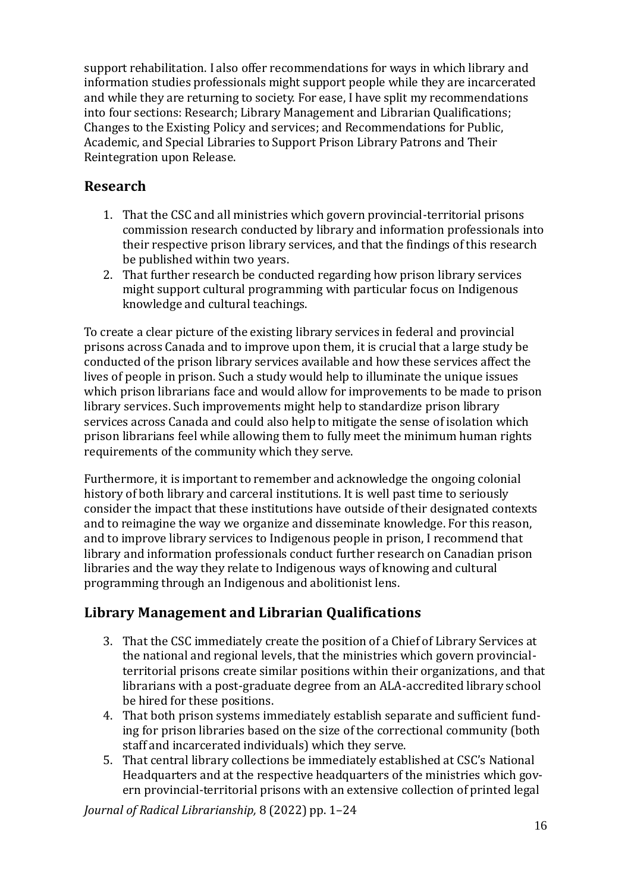support rehabilitation. I also offer recommendations for ways in which library and information studies professionals might support people while they are incarcerated and while they are returning to society. For ease, I have split my recommendations into four sections: Research; Library Management and Librarian Qualifications; Changes to the Existing Policy and services; and Recommendations for Public, Academic, and Special Libraries to Support Prison Library Patrons and Their Reintegration upon Release.

## **Research**

- 1. That the CSC and all ministries which govern provincial-territorial prisons commission research conducted by library and information professionals into their respective prison library services, and that the findings of this research be published within two years.
- 2. That further research be conducted regarding how prison library services might support cultural programming with particular focus on Indigenous knowledge and cultural teachings.

To create a clear picture of the existing library services in federal and provincial prisons across Canada and to improve upon them, it is crucial that a large study be conducted of the prison library services available and how these services affect the lives of people in prison. Such a study would help to illuminate the unique issues which prison librarians face and would allow for improvements to be made to prison library services. Such improvements might help to standardize prison library services across Canada and could also help to mitigate the sense of isolation which prison librarians feel while allowing them to fully meet the minimum human rights requirements of the community which they serve.

Furthermore, it is important to remember and acknowledge the ongoing colonial history of both library and carceral institutions. It is well past time to seriously consider the impact that these institutions have outside of their designated contexts and to reimagine the way we organize and disseminate knowledge. For this reason, and to improve library services to Indigenous people in prison, I recommend that library and information professionals conduct further research on Canadian prison libraries and the way they relate to Indigenous ways of knowing and cultural programming through an Indigenous and abolitionist lens.

#### **Library Management and Librarian Qualifications**

- 3. That the CSC immediately create the position of a Chief of Library Services at the national and regional levels, that the ministries which govern provincialterritorial prisons create similar positions within their organizations, and that librarians with a post-graduate degree from an ALA-accredited library school be hired for these positions.
- 4. That both prison systems immediately establish separate and sufficient funding for prison libraries based on the size of the correctional community (both staff and incarcerated individuals) which they serve.
- 5. That central library collections be immediately established at CSC's National Headquarters and at the respective headquarters of the ministries which govern provincial-territorial prisons with an extensive collection of printed legal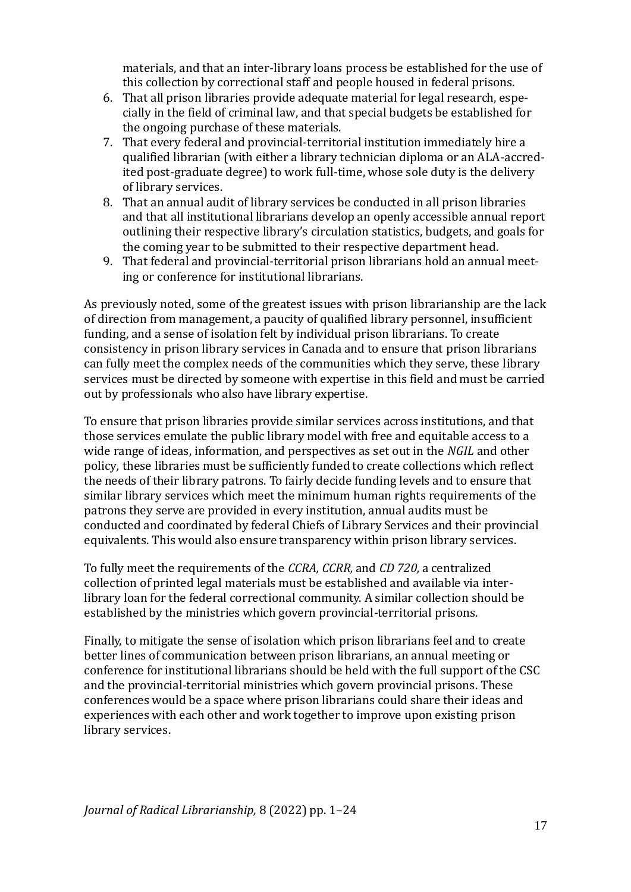materials, and that an inter-library loans process be established for the use of this collection by correctional staff and people housed in federal prisons.

- 6. That all prison libraries provide adequate material for legal research, especially in the field of criminal law, and that special budgets be established for the ongoing purchase of these materials.
- 7. That every federal and provincial-territorial institution immediately hire a qualified librarian (with either a library technician diploma or an ALA-accredited post-graduate degree) to work full-time, whose sole duty is the delivery of library services.
- 8. That an annual audit of library services be conducted in all prison libraries and that all institutional librarians develop an openly accessible annual report outlining their respective library's circulation statistics, budgets, and goals for the coming year to be submitted to their respective department head.
- 9. That federal and provincial-territorial prison librarians hold an annual meeting or conference for institutional librarians.

As previously noted, some of the greatest issues with prison librarianship are the lack of direction from management, a paucity of qualified library personnel, insufficient funding, and a sense of isolation felt by individual prison librarians. To create consistency in prison library services in Canada and to ensure that prison librarians can fully meet the complex needs of the communities which they serve, these library services must be directed by someone with expertise in this field and must be carried out by professionals who also have library expertise.

To ensure that prison libraries provide similar services across institutions, and that those services emulate the public library model with free and equitable access to a wide range of ideas, information, and perspectives as set out in the *NGIL* and other policy*,* these libraries must be sufficiently funded to create collections which reflect the needs of their library patrons. To fairly decide funding levels and to ensure that similar library services which meet the minimum human rights requirements of the patrons they serve are provided in every institution, annual audits must be conducted and coordinated by federal Chiefs of Library Services and their provincial equivalents. This would also ensure transparency within prison library services.

To fully meet the requirements of the *CCRA, CCRR,* and *CD 720,* a centralized collection of printed legal materials must be established and available via interlibrary loan for the federal correctional community. A similar collection should be established by the ministries which govern provincial-territorial prisons.

Finally, to mitigate the sense of isolation which prison librarians feel and to create better lines of communication between prison librarians, an annual meeting or conference for institutional librarians should be held with the full support of the CSC and the provincial-territorial ministries which govern provincial prisons. These conferences would be a space where prison librarians could share their ideas and experiences with each other and work together to improve upon existing prison library services.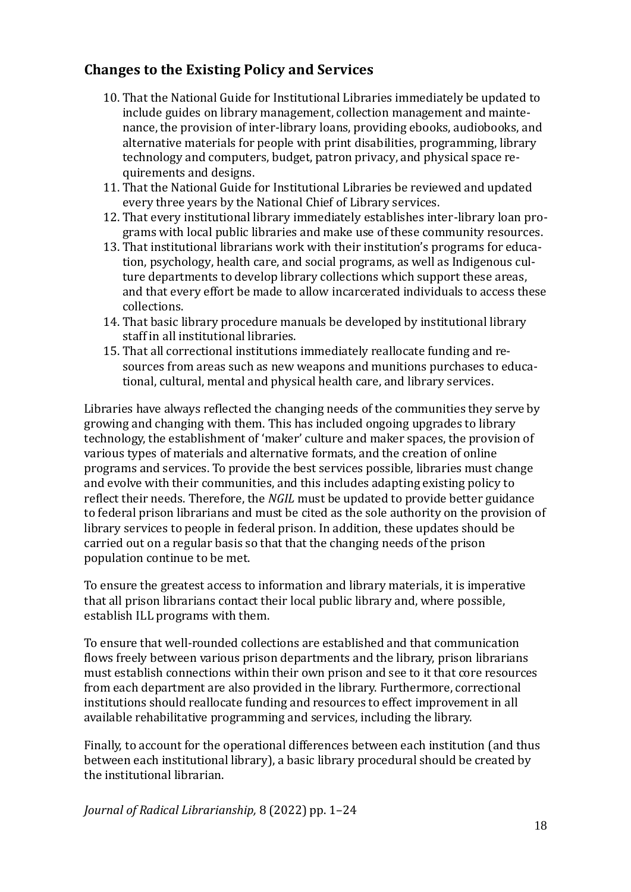#### **Changes to the Existing Policy and Services**

- 10. That the National Guide for Institutional Libraries immediately be updated to include guides on library management, collection management and maintenance, the provision of inter-library loans, providing ebooks, audiobooks, and alternative materials for people with print disabilities, programming, library technology and computers, budget, patron privacy, and physical space requirements and designs.
- 11. That the National Guide for Institutional Libraries be reviewed and updated every three years by the National Chief of Library services.
- 12. That every institutional library immediately establishes inter-library loan programs with local public libraries and make use of these community resources.
- 13. That institutional librarians work with their institution's programs for education, psychology, health care, and social programs, as well as Indigenous culture departments to develop library collections which support these areas, and that every effort be made to allow incarcerated individuals to access these collections.
- 14. That basic library procedure manuals be developed by institutional library staff in all institutional libraries.
- 15. That all correctional institutions immediately reallocate funding and resources from areas such as new weapons and munitions purchases to educational, cultural, mental and physical health care, and library services.

Libraries have always reflected the changing needs of the communities they serve by growing and changing with them. This has included ongoing upgrades to library technology, the establishment of 'maker' culture and maker spaces, the provision of various types of materials and alternative formats, and the creation of online programs and services. To provide the best services possible, libraries must change and evolve with their communities, and this includes adapting existing policy to reflect their needs. Therefore, the *NGIL* must be updated to provide better guidance to federal prison librarians and must be cited as the sole authority on the provision of library services to people in federal prison. In addition, these updates should be carried out on a regular basis so that that the changing needs of the prison population continue to be met.

To ensure the greatest access to information and library materials, it is imperative that all prison librarians contact their local public library and, where possible, establish ILL programs with them.

To ensure that well-rounded collections are established and that communication flows freely between various prison departments and the library, prison librarians must establish connections within their own prison and see to it that core resources from each department are also provided in the library. Furthermore, correctional institutions should reallocate funding and resources to effect improvement in all available rehabilitative programming and services, including the library.

Finally, to account for the operational differences between each institution (and thus between each institutional library), a basic library procedural should be created by the institutional librarian.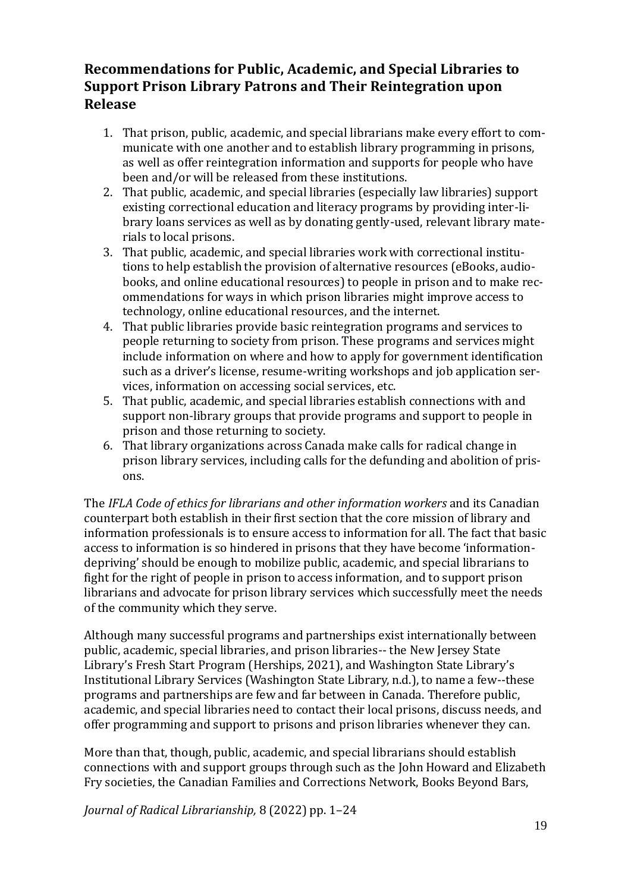## **Recommendations for Public, Academic, and Special Libraries to Support Prison Library Patrons and Their Reintegration upon Release**

- 1. That prison, public, academic, and special librarians make every effort to communicate with one another and to establish library programming in prisons, as well as offer reintegration information and supports for people who have been and/or will be released from these institutions.
- 2. That public, academic, and special libraries (especially law libraries) support existing correctional education and literacy programs by providing inter-library loans services as well as by donating gently-used, relevant library materials to local prisons.
- 3. That public, academic, and special libraries work with correctional institutions to help establish the provision of alternative resources (eBooks, audiobooks, and online educational resources) to people in prison and to make recommendations for ways in which prison libraries might improve access to technology, online educational resources, and the internet.
- 4. That public libraries provide basic reintegration programs and services to people returning to society from prison. These programs and services might include information on where and how to apply for government identification such as a driver's license, resume-writing workshops and job application services, information on accessing social services, etc.
- 5. That public, academic, and special libraries establish connections with and support non-library groups that provide programs and support to people in prison and those returning to society.
- 6. That library organizations across Canada make calls for radical change in prison library services, including calls for the defunding and abolition of prisons.

The *IFLA Code of ethics for librarians and other information workers* and its Canadian counterpart both establish in their first section that the core mission of library and information professionals is to ensure access to information for all. The fact that basic access to information is so hindered in prisons that they have become 'informationdepriving' should be enough to mobilize public, academic, and special librarians to fight for the right of people in prison to access information, and to support prison librarians and advocate for prison library services which successfully meet the needs of the community which they serve.

Although many successful programs and partnerships exist internationally between public, academic, special libraries, and prison libraries-- the New Jersey State Library's Fresh Start Program (Herships, 2021), and Washington State Library's Institutional Library Services (Washington State Library, n.d.), to name a few--these programs and partnerships are few and far between in Canada. Therefore public, academic, and special libraries need to contact their local prisons, discuss needs, and offer programming and support to prisons and prison libraries whenever they can.

More than that, though, public, academic, and special librarians should establish connections with and support groups through such as the John Howard and Elizabeth Fry societies, the Canadian Families and Corrections Network, Books Beyond Bars,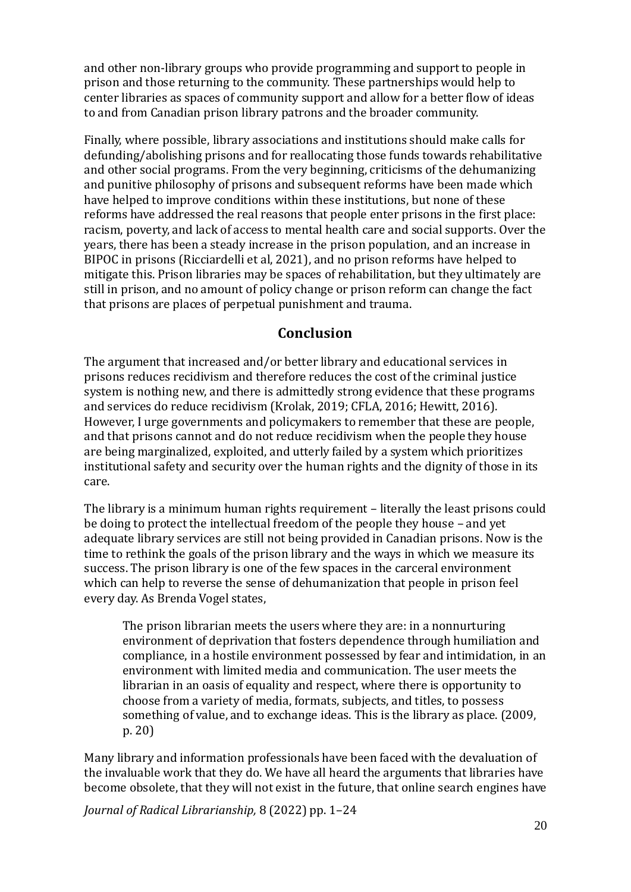and other non-library groups who provide programming and support to people in prison and those returning to the community. These partnerships would help to center libraries as spaces of community support and allow for a better flow of ideas to and from Canadian prison library patrons and the broader community.

Finally, where possible, library associations and institutions should make calls for defunding/abolishing prisons and for reallocating those funds towards rehabilitative and other social programs. From the very beginning, criticisms of the dehumanizing and punitive philosophy of prisons and subsequent reforms have been made which have helped to improve conditions within these institutions, but none of these reforms have addressed the real reasons that people enter prisons in the first place: racism, poverty, and lack of access to mental health care and social supports. Over the years, there has been a steady increase in the prison population, and an increase in BIPOC in prisons (Ricciardelli et al, 2021), and no prison reforms have helped to mitigate this. Prison libraries may be spaces of rehabilitation, but they ultimately are still in prison, and no amount of policy change or prison reform can change the fact that prisons are places of perpetual punishment and trauma.

#### **Conclusion**

The argument that increased and/or better library and educational services in prisons reduces recidivism and therefore reduces the cost of the criminal justice system is nothing new, and there is admittedly strong evidence that these programs and services do reduce recidivism (Krolak, 2019; CFLA, 2016; Hewitt, 2016). However, I urge governments and policymakers to remember that these are people, and that prisons cannot and do not reduce recidivism when the people they house are being marginalized, exploited, and utterly failed by a system which prioritizes institutional safety and security over the human rights and the dignity of those in its care.

The library is a minimum human rights requirement – literally the least prisons could be doing to protect the intellectual freedom of the people they house – and yet adequate library services are still not being provided in Canadian prisons. Now is the time to rethink the goals of the prison library and the ways in which we measure its success. The prison library is one of the few spaces in the carceral environment which can help to reverse the sense of dehumanization that people in prison feel every day. As Brenda Vogel states,

The prison librarian meets the users where they are: in a nonnurturing environment of deprivation that fosters dependence through humiliation and compliance, in a hostile environment possessed by fear and intimidation, in an environment with limited media and communication. The user meets the librarian in an oasis of equality and respect, where there is opportunity to choose from a variety of media, formats, subjects, and titles, to possess something of value, and to exchange ideas. This is the library as place. (2009, p. 20)

Many library and information professionals have been faced with the devaluation of the invaluable work that they do. We have all heard the arguments that libraries have become obsolete, that they will not exist in the future, that online search engines have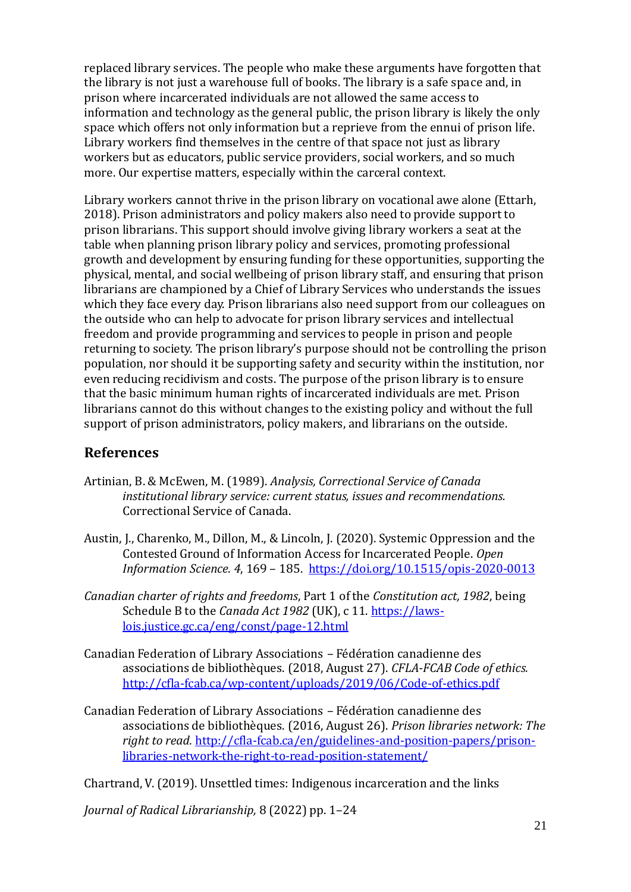replaced library services. The people who make these arguments have forgotten that the library is not just a warehouse full of books. The library is a safe space and, in prison where incarcerated individuals are not allowed the same access to information and technology as the general public, the prison library is likely the only space which offers not only information but a reprieve from the ennui of prison life. Library workers find themselves in the centre of that space not just as library workers but as educators, public service providers, social workers, and so much more. Our expertise matters, especially within the carceral context.

Library workers cannot thrive in the prison library on vocational awe alone (Ettarh, 2018). Prison administrators and policy makers also need to provide support to prison librarians. This support should involve giving library workers a seat at the table when planning prison library policy and services, promoting professional growth and development by ensuring funding for these opportunities, supporting the physical, mental, and social wellbeing of prison library staff, and ensuring that prison librarians are championed by a Chief of Library Services who understands the issues which they face every day. Prison librarians also need support from our colleagues on the outside who can help to advocate for prison library services and intellectual freedom and provide programming and services to people in prison and people returning to society. The prison library's purpose should not be controlling the prison population, nor should it be supporting safety and security within the institution, nor even reducing recidivism and costs. The purpose of the prison library is to ensure that the basic minimum human rights of incarcerated individuals are met. Prison librarians cannot do this without changes to the existing policy and without the full support of prison administrators, policy makers, and librarians on the outside.

#### **References**

- Artinian, B. & McEwen, M. (1989). *Analysis, Correctional Service of Canada institutional library service: current status, issues and recommendations.*  Correctional Service of Canada.
- Austin, J., Charenko, M., Dillon, M., & Lincoln, J. (2020). Systemic Oppression and the Contested Ground of Information Access for Incarcerated People. *Open Information Science. 4*, 169 – 185.<https://doi.org/10.1515/opis-2020-0013>
- *Canadian charter of rights and freedoms*, Part 1 of the *Constitution act, 1982*, being Schedule B to the *Canada Act 1982* (UK), c 11[. https://laws](https://laws-lois.justice.gc.ca/eng/const/page-12.html)[lois.justice.gc.ca/eng/const/page-12.html](https://laws-lois.justice.gc.ca/eng/const/page-12.html)
- Canadian Federation of Library Associations Fédération canadienne des associations de bibliothèques. (2018, August 27). *CFLA-FCAB Code of ethics.*  <http://cfla-fcab.ca/wp-content/uploads/2019/06/Code-of-ethics.pdf>
- Canadian Federation of Library Associations Fédération canadienne des associations de bibliothèques. (2016, August 26). *Prison libraries network: The right to read.* [http://cfla-fcab.ca/en/guidelines-and-position-papers/prison](http://cfla-fcab.ca/en/guidelines-and-position-papers/prison-libraries-network-the-right-to-read-position-statement/)[libraries-network-the-right-to-read-position-statement/](http://cfla-fcab.ca/en/guidelines-and-position-papers/prison-libraries-network-the-right-to-read-position-statement/)

Chartrand, V. (2019). Unsettled times: Indigenous incarceration and the links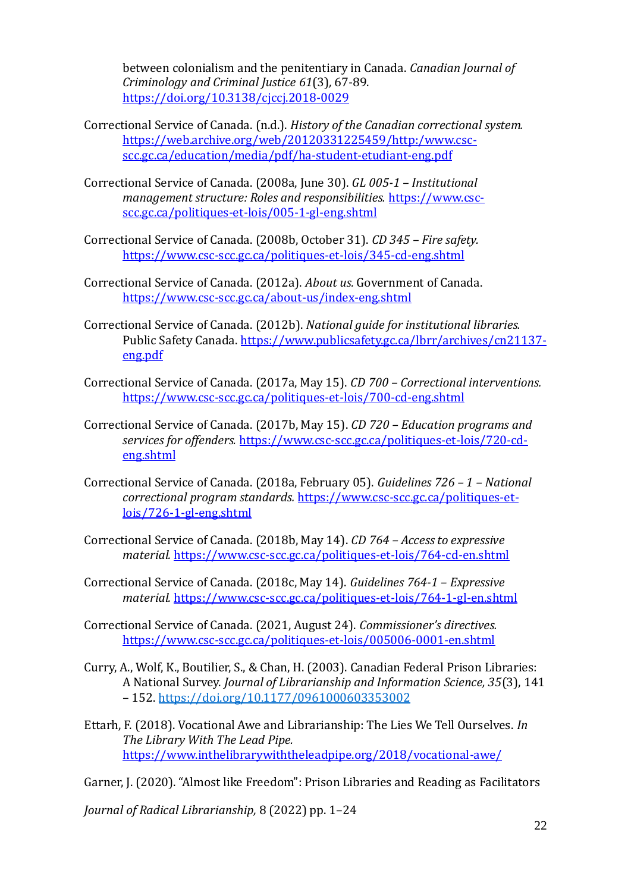between colonialism and the penitentiary in Canada. *Canadian Journal of Criminology and Criminal Justice 61*(3)*,* 67-89. <https://doi.org/10.3138/cjccj.2018-0029>

- Correctional Service of Canada. (n.d.). *History of the Canadian correctional system.* [https://web.archive.org/web/20120331225459/http:/www.csc](https://web.archive.org/web/20120331225459/http:/www.csc-scc.gc.ca/education/media/pdf/ha-student-etudiant-eng.pdf)[scc.gc.ca/education/media/pdf/ha-student-etudiant-eng.pdf](https://web.archive.org/web/20120331225459/http:/www.csc-scc.gc.ca/education/media/pdf/ha-student-etudiant-eng.pdf)
- Correctional Service of Canada. (2008a, June 30). *GL 005-1 – Institutional management structure: Roles and responsibilities.* [https://www.csc](https://www.csc-scc.gc.ca/politiques-et-lois/005-1-gl-eng.shtml)[scc.gc.ca/politiques-et-lois/005-1-gl-eng.shtml](https://www.csc-scc.gc.ca/politiques-et-lois/005-1-gl-eng.shtml)
- Correctional Service of Canada. (2008b, October 31). *CD 345 – Fire safety.*  <https://www.csc-scc.gc.ca/politiques-et-lois/345-cd-eng.shtml>
- Correctional Service of Canada. (2012a). *About us.* Government of Canada. <https://www.csc-scc.gc.ca/about-us/index-eng.shtml>
- Correctional Service of Canada. (2012b). *National guide for institutional libraries.*  Public Safety Canada[. https://www.publicsafety.gc.ca/lbrr/archives/cn21137](https://www.publicsafety.gc.ca/lbrr/archives/cn21137-eng.pdf) [eng.pdf](https://www.publicsafety.gc.ca/lbrr/archives/cn21137-eng.pdf)
- Correctional Service of Canada. (2017a, May 15). *CD 700 – Correctional interventions.*  <https://www.csc-scc.gc.ca/politiques-et-lois/700-cd-eng.shtml>
- Correctional Service of Canada. (2017b, May 15). *CD 720 – Education programs and services for offenders.* [https://www.csc-scc.gc.ca/politiques-et-lois/720-cd](https://www.csc-scc.gc.ca/politiques-et-lois/720-cd-eng.shtml)[eng.shtml](https://www.csc-scc.gc.ca/politiques-et-lois/720-cd-eng.shtml)
- Correctional Service of Canada. (2018a, February 05). *Guidelines 726 – 1 – National correctional program standards.* [https://www.csc-scc.gc.ca/politiques-et](https://www.csc-scc.gc.ca/politiques-et-lois/726-1-gl-eng.shtml)[lois/726-1-gl-eng.shtml](https://www.csc-scc.gc.ca/politiques-et-lois/726-1-gl-eng.shtml)
- Correctional Service of Canada. (2018b, May 14). *CD 764 – Access to expressive material.* <https://www.csc-scc.gc.ca/politiques-et-lois/764-cd-en.shtml>
- Correctional Service of Canada. (2018c, May 14). *Guidelines 764-1 – Expressive material.* <https://www.csc-scc.gc.ca/politiques-et-lois/764-1-gl-en.shtml>
- Correctional Service of Canada. (2021, August 24). *Commissioner's directives.*  <https://www.csc-scc.gc.ca/politiques-et-lois/005006-0001-en.shtml>
- Curry, A., Wolf, K., Boutilier, S., & Chan, H. (2003). Canadian Federal Prison Libraries: A National Survey. *Journal of Librarianship and Information Science, 35*(3), 141 – 152[. https://doi.org/10.1177/0961000603353002](https://doi.org/10.1177/0961000603353002)
- Ettarh, F. (2018). Vocational Awe and Librarianship: The Lies We Tell Ourselves. *In The Library With The Lead Pipe.*  <https://www.inthelibrarywiththeleadpipe.org/2018/vocational-awe/>

Garner, J. (2020). "Almost like Freedom": Prison Libraries and Reading as Facilitators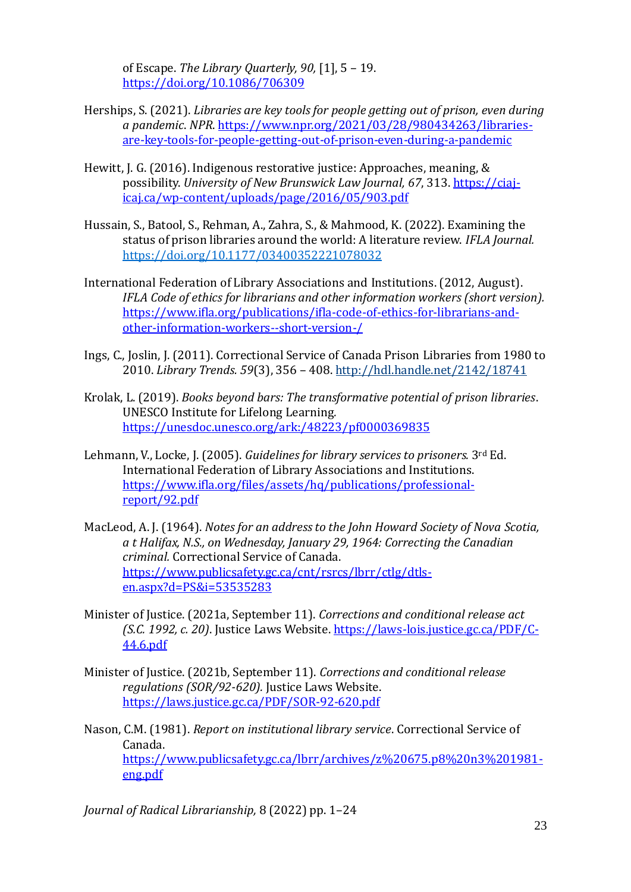of Escape. *The Library Quarterly, 90,* [1], 5 – 19. <https://doi.org/10.1086/706309>

- Herships, S. (2021). *Libraries are key tools for people getting out of prison, even during a pandemic*. *NPR*[. https://www.npr.org/2021/03/28/980434263/libraries](https://www.npr.org/2021/03/28/980434263/libraries-are-key-tools-for-people-getting-out-of-prison-even-during-a-pandemic)[are-key-tools-for-people-getting-out-of-prison-even-during-a-pandemic](https://www.npr.org/2021/03/28/980434263/libraries-are-key-tools-for-people-getting-out-of-prison-even-during-a-pandemic)
- Hewitt, J. G. (2016). Indigenous restorative justice: Approaches, meaning, & possibility. *University of New Brunswick Law Journal, 67*, 313[. https://ciaj](https://ciaj-icaj.ca/wp-content/uploads/page/2016/05/903.pdf)[icaj.ca/wp-content/uploads/page/2016/05/903.pdf](https://ciaj-icaj.ca/wp-content/uploads/page/2016/05/903.pdf)
- Hussain, S., Batool, S., Rehman, A., Zahra, S., & Mahmood, K. (2022). Examining the status of prison libraries around the world: A literature review. *IFLA Journal.*  <https://doi.org/10.1177/03400352221078032>
- International Federation of Library Associations and Institutions. (2012, August). *IFLA Code of ethics for librarians and other information workers (short version).*  [https://www.ifla.org/publications/ifla-code-of-ethics-for-librarians-and](https://www.ifla.org/publications/ifla-code-of-ethics-for-librarians-and-other-information-workers--short-version-/)[other-information-workers--short-version-/](https://www.ifla.org/publications/ifla-code-of-ethics-for-librarians-and-other-information-workers--short-version-/)
- Ings, C., Joslin, J. (2011). Correctional Service of Canada Prison Libraries from 1980 to 2010. *Library Trends. 59*(3), 356 – 408[. http://hdl.handle.net/2142/18741](http://hdl.handle.net/2142/18741)
- Krolak, L. (2019). *Books beyond bars: The transformative potential of prison libraries*. UNESCO Institute for Lifelong Learning*.*  <https://unesdoc.unesco.org/ark:/48223/pf0000369835>
- Lehmann, V., Locke, J. (2005). *Guidelines for library services to prisoners.* 3rd Ed. International Federation of Library Associations and Institutions. [https://www.ifla.org/files/assets/hq/publications/professional](https://www.ifla.org/files/assets/hq/publications/professional-report/92.pdf)[report/92.pdf](https://www.ifla.org/files/assets/hq/publications/professional-report/92.pdf)
- MacLeod, A. J. (1964). *Notes for an address to the John Howard Society of Nova Scotia, a t Halifax, N.S., on Wednesday, January 29, 1964: Correcting the Canadian criminal.* Correctional Service of Canada. [https://www.publicsafety.gc.ca/cnt/rsrcs/lbrr/ctlg/dtls](https://www.publicsafety.gc.ca/cnt/rsrcs/lbrr/ctlg/dtls-en.aspx?d=PS&i=53535283)[en.aspx?d=PS&i=53535283](https://www.publicsafety.gc.ca/cnt/rsrcs/lbrr/ctlg/dtls-en.aspx?d=PS&i=53535283)
- Minister of Justice. (2021a, September 11). *Corrections and conditional release act (S.C. 1992, c. 20)*. Justice Laws Website[. https://laws-lois.justice.gc.ca/PDF/C-](https://laws-lois.justice.gc.ca/PDF/C-44.6.pdf)[44.6.pdf](https://laws-lois.justice.gc.ca/PDF/C-44.6.pdf)
- Minister of Justice. (2021b, September 11). *Corrections and conditional release regulations (SOR/92-620).* Justice Laws Website. <https://laws.justice.gc.ca/PDF/SOR-92-620.pdf>
- Nason, C.M. (1981). *Report on institutional library service*. Correctional Service of Canada. [https://www.publicsafety.gc.ca/lbrr/archives/z%20675.p8%20n3%201981](https://www.publicsafety.gc.ca/lbrr/archives/z%20675.p8%20n3%201981-eng.pdf) [eng.pdf](https://www.publicsafety.gc.ca/lbrr/archives/z%20675.p8%20n3%201981-eng.pdf)